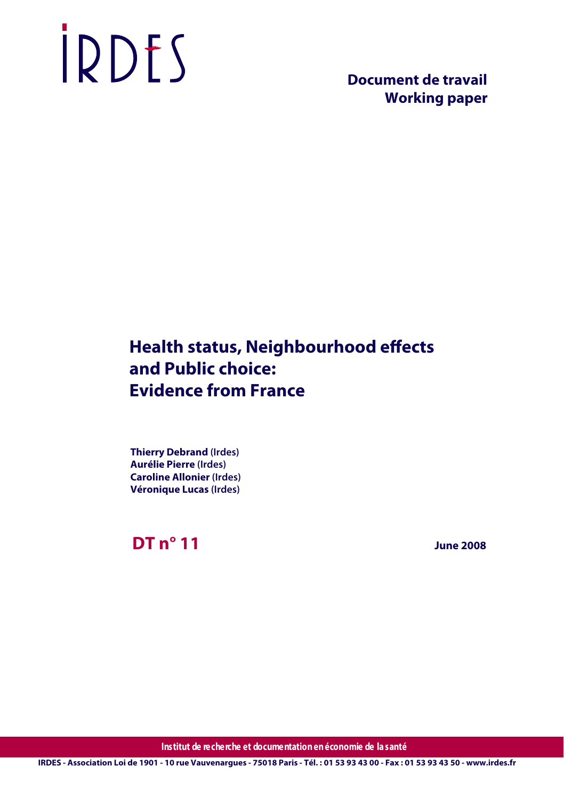# IRDES

 **Document de travail Working paper**

# **Health status, Neighbourhood effects and Public choice: Evidence from France**

**Thierry Debrand (Irdes) Aurélie Pierre (Irdes) Caroline Allonier (Irdes) Véronique Lucas (Irdes)**

**DT n° 11**

 **June 2008**

**Institut de recherche et documentation en économie de la santé**

**IRDES - Association Loi de 1901 - 10 rue Vauvenargues - 75018 Paris - Tél. : 01 53 93 43 00 - Fax : 01 53 93 43 50 - www.irdes.fr**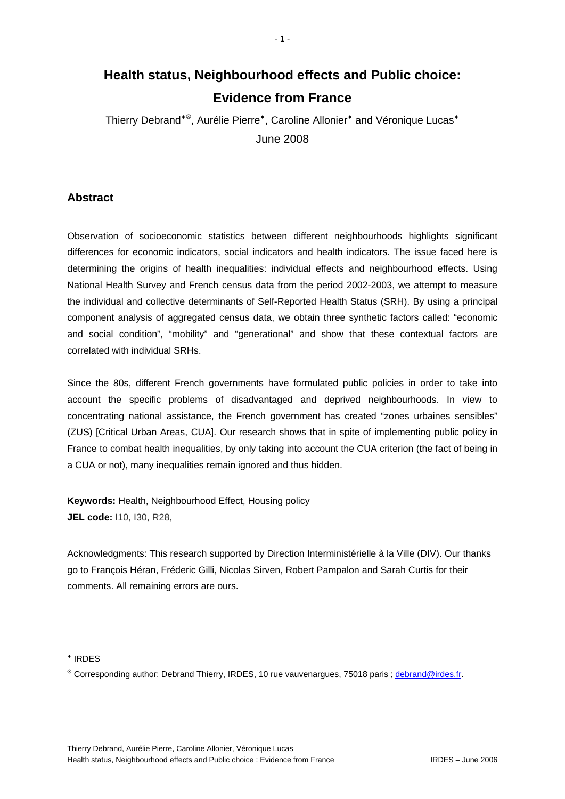# **Health status, Neighbourhood effects and Public choice: Evidence from France**

- 1 -

Thierry Debrand<sup>◆®</sup>, Aurélie Pierre<sup>◆</sup>, Caroline Allonier<sup>◆</sup> and Véronique Lucas<sup>◆</sup> June 2008

## **Abstract**

Observation of socioeconomic statistics between different neighbourhoods highlights significant differences for economic indicators, social indicators and health indicators. The issue faced here is determining the origins of health inequalities: individual effects and neighbourhood effects. Using National Health Survey and French census data from the period 2002-2003, we attempt to measure the individual and collective determinants of Self-Reported Health Status (SRH). By using a principal component analysis of aggregated census data, we obtain three synthetic factors called: "economic and social condition", "mobility" and "generational" and show that these contextual factors are correlated with individual SRHs.

Since the 80s, different French governments have formulated public policies in order to take into account the specific problems of disadvantaged and deprived neighbourhoods. In view to concentrating national assistance, the French government has created "zones urbaines sensibles" (ZUS) [Critical Urban Areas, CUA]. Our research shows that in spite of implementing public policy in France to combat health inequalities, by only taking into account the CUA criterion (the fact of being in a CUA or not), many inequalities remain ignored and thus hidden.

**Keywords:** Health, Neighbourhood Effect, Housing policy **JEL code:** I10, I30, R28,

Acknowledgments: This research supported by Direction Interministérielle à la Ville (DIV). Our thanks go to François Héran, Fréderic Gilli, Nicolas Sirven, Robert Pampalon and Sarah Curtis for their comments. All remaining errors are ours.

♦ IRDES

1

<sup>⊗</sup> Corresponding author: Debrand Thierry, IRDES, 10 rue vauvenargues, 75018 paris ; debrand@irdes.fr.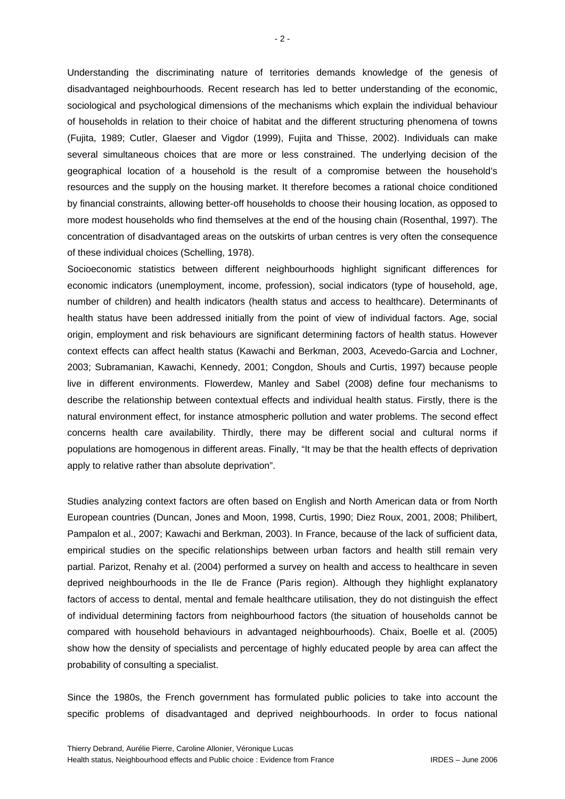Understanding the discriminating nature of territories demands knowledge of the genesis of disadvantaged neighbourhoods. Recent research has led to better understanding of the economic, sociological and psychological dimensions of the mechanisms which explain the individual behaviour of households in relation to their choice of habitat and the different structuring phenomena of towns (Fujita, 1989; Cutler, Glaeser and Vigdor (1999), Fujita and Thisse, 2002). Individuals can make several simultaneous choices that are more or less constrained. The underlying decision of the geographical location of a household is the result of a compromise between the household's resources and the supply on the housing market. It therefore becomes a rational choice conditioned by financial constraints, allowing better-off households to choose their housing location, as opposed to more modest households who find themselves at the end of the housing chain (Rosenthal, 1997). The concentration of disadvantaged areas on the outskirts of urban centres is very often the consequence of these individual choices (Schelling, 1978).

Socioeconomic statistics between different neighbourhoods highlight significant differences for economic indicators (unemployment, income, profession), social indicators (type of household, age, number of children) and health indicators (health status and access to healthcare). Determinants of health status have been addressed initially from the point of view of individual factors. Age, social origin, employment and risk behaviours are significant determining factors of health status. However context effects can affect health status (Kawachi and Berkman, 2003, Acevedo-Garcia and Lochner, 2003; Subramanian, Kawachi, Kennedy, 2001; Congdon, Shouls and Curtis, 1997) because people live in different environments. Flowerdew, Manley and Sabel (2008) define four mechanisms to describe the relationship between contextual effects and individual health status. Firstly, there is the natural environment effect, for instance atmospheric pollution and water problems. The second effect concerns health care availability. Thirdly, there may be different social and cultural norms if populations are homogenous in different areas. Finally, "It may be that the health effects of deprivation apply to relative rather than absolute deprivation".

Studies analyzing context factors are often based on English and North American data or from North European countries (Duncan, Jones and Moon, 1998, Curtis, 1990; Diez Roux, 2001, 2008; Philibert, Pampalon et al., 2007; Kawachi and Berkman, 2003). In France, because of the lack of sufficient data, empirical studies on the specific relationships between urban factors and health still remain very partial. Parizot, Renahy et al. (2004) performed a survey on health and access to healthcare in seven deprived neighbourhoods in the Ile de France (Paris region). Although they highlight explanatory factors of access to dental, mental and female healthcare utilisation, they do not distinguish the effect of individual determining factors from neighbourhood factors (the situation of households cannot be compared with household behaviours in advantaged neighbourhoods). Chaix, Boelle et al. (2005) show how the density of specialists and percentage of highly educated people by area can affect the probability of consulting a specialist.

Since the 1980s, the French government has formulated public policies to take into account the specific problems of disadvantaged and deprived neighbourhoods. In order to focus national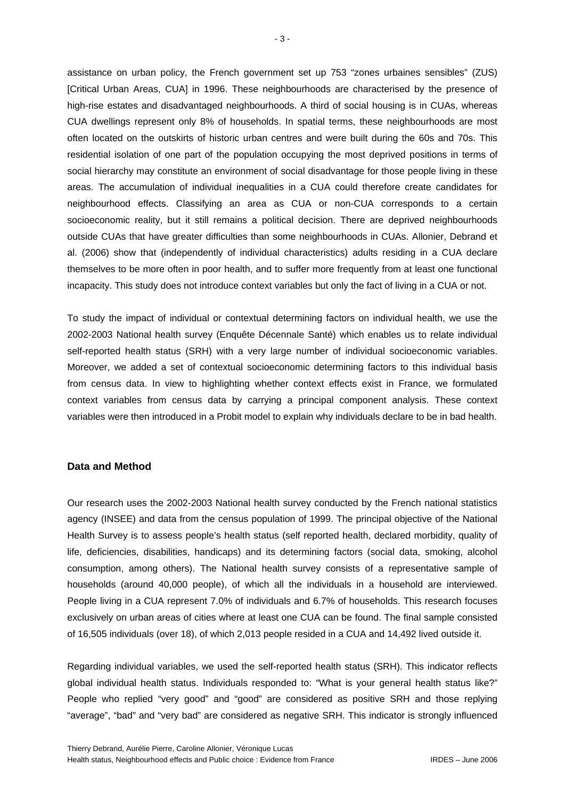assistance on urban policy, the French government set up 753 "zones urbaines sensibles" (ZUS) [Critical Urban Areas, CUA] in 1996. These neighbourhoods are characterised by the presence of high-rise estates and disadvantaged neighbourhoods. A third of social housing is in CUAs, whereas CUA dwellings represent only 8% of households. In spatial terms, these neighbourhoods are most often located on the outskirts of historic urban centres and were built during the 60s and 70s. This residential isolation of one part of the population occupying the most deprived positions in terms of social hierarchy may constitute an environment of social disadvantage for those people living in these areas. The accumulation of individual inequalities in a CUA could therefore create candidates for neighbourhood effects. Classifying an area as CUA or non-CUA corresponds to a certain socioeconomic reality, but it still remains a political decision. There are deprived neighbourhoods outside CUAs that have greater difficulties than some neighbourhoods in CUAs. Allonier, Debrand et al. (2006) show that (independently of individual characteristics) adults residing in a CUA declare themselves to be more often in poor health, and to suffer more frequently from at least one functional incapacity. This study does not introduce context variables but only the fact of living in a CUA or not.

To study the impact of individual or contextual determining factors on individual health, we use the 2002-2003 National health survey (Enquête Décennale Santé) which enables us to relate individual self-reported health status (SRH) with a very large number of individual socioeconomic variables. Moreover, we added a set of contextual socioeconomic determining factors to this individual basis from census data. In view to highlighting whether context effects exist in France, we formulated context variables from census data by carrying a principal component analysis. These context variables were then introduced in a Probit model to explain why individuals declare to be in bad health.

#### **Data and Method**

Our research uses the 2002-2003 National health survey conducted by the French national statistics agency (INSEE) and data from the census population of 1999. The principal objective of the National Health Survey is to assess people's health status (self reported health, declared morbidity, quality of life, deficiencies, disabilities, handicaps) and its determining factors (social data, smoking, alcohol consumption, among others). The National health survey consists of a representative sample of households (around 40,000 people), of which all the individuals in a household are interviewed. People living in a CUA represent 7.0% of individuals and 6.7% of households. This research focuses exclusively on urban areas of cities where at least one CUA can be found. The final sample consisted of 16,505 individuals (over 18), of which 2,013 people resided in a CUA and 14,492 lived outside it.

Regarding individual variables, we used the self-reported health status (SRH). This indicator reflects global individual health status. Individuals responded to: "What is your general health status like?" People who replied "very good" and "good" are considered as positive SRH and those replying "average", "bad" and "very bad" are considered as negative SRH. This indicator is strongly influenced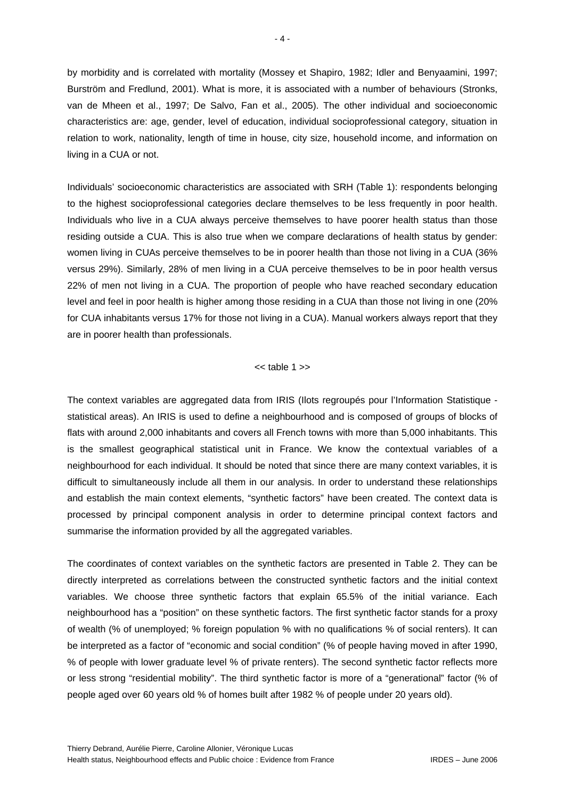by morbidity and is correlated with mortality (Mossey et Shapiro, 1982; Idler and Benyaamini, 1997; Burström and Fredlund, 2001). What is more, it is associated with a number of behaviours (Stronks, van de Mheen et al., 1997; De Salvo, Fan et al., 2005). The other individual and socioeconomic characteristics are: age, gender, level of education, individual socioprofessional category, situation in relation to work, nationality, length of time in house, city size, household income, and information on living in a CUA or not.

Individuals' socioeconomic characteristics are associated with SRH (Table 1): respondents belonging to the highest socioprofessional categories declare themselves to be less frequently in poor health. Individuals who live in a CUA always perceive themselves to have poorer health status than those residing outside a CUA. This is also true when we compare declarations of health status by gender: women living in CUAs perceive themselves to be in poorer health than those not living in a CUA (36% versus 29%). Similarly, 28% of men living in a CUA perceive themselves to be in poor health versus 22% of men not living in a CUA. The proportion of people who have reached secondary education level and feel in poor health is higher among those residing in a CUA than those not living in one (20% for CUA inhabitants versus 17% for those not living in a CUA). Manual workers always report that they are in poorer health than professionals.

#### $<<$  table 1 $>>$

The context variables are aggregated data from IRIS (Ilots regroupés pour l'Information Statistique statistical areas). An IRIS is used to define a neighbourhood and is composed of groups of blocks of flats with around 2,000 inhabitants and covers all French towns with more than 5,000 inhabitants. This is the smallest geographical statistical unit in France. We know the contextual variables of a neighbourhood for each individual. It should be noted that since there are many context variables, it is difficult to simultaneously include all them in our analysis. In order to understand these relationships and establish the main context elements, "synthetic factors" have been created. The context data is processed by principal component analysis in order to determine principal context factors and summarise the information provided by all the aggregated variables.

The coordinates of context variables on the synthetic factors are presented in Table 2. They can be directly interpreted as correlations between the constructed synthetic factors and the initial context variables. We choose three synthetic factors that explain 65.5% of the initial variance. Each neighbourhood has a "position" on these synthetic factors. The first synthetic factor stands for a proxy of wealth (% of unemployed; % foreign population % with no qualifications % of social renters). It can be interpreted as a factor of "economic and social condition" (% of people having moved in after 1990, % of people with lower graduate level % of private renters). The second synthetic factor reflects more or less strong "residential mobility". The third synthetic factor is more of a "generational" factor (% of people aged over 60 years old % of homes built after 1982 % of people under 20 years old).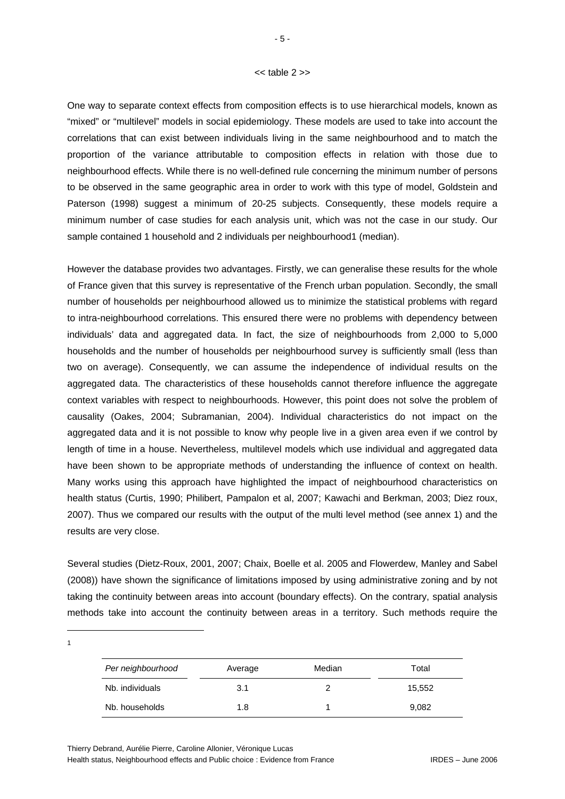#### << table 2 >>

One way to separate context effects from composition effects is to use hierarchical models, known as "mixed" or "multilevel" models in social epidemiology. These models are used to take into account the correlations that can exist between individuals living in the same neighbourhood and to match the proportion of the variance attributable to composition effects in relation with those due to neighbourhood effects. While there is no well-defined rule concerning the minimum number of persons to be observed in the same geographic area in order to work with this type of model, Goldstein and Paterson (1998) suggest a minimum of 20-25 subjects. Consequently, these models require a minimum number of case studies for each analysis unit, which was not the case in our study. Our sample contained 1 household and 2 individuals per neighbourhood1 (median).

However the database provides two advantages. Firstly, we can generalise these results for the whole of France given that this survey is representative of the French urban population. Secondly, the small number of households per neighbourhood allowed us to minimize the statistical problems with regard to intra-neighbourhood correlations. This ensured there were no problems with dependency between individuals' data and aggregated data. In fact, the size of neighbourhoods from 2,000 to 5,000 households and the number of households per neighbourhood survey is sufficiently small (less than two on average). Consequently, we can assume the independence of individual results on the aggregated data. The characteristics of these households cannot therefore influence the aggregate context variables with respect to neighbourhoods. However, this point does not solve the problem of causality (Oakes, 2004; Subramanian, 2004). Individual characteristics do not impact on the aggregated data and it is not possible to know why people live in a given area even if we control by length of time in a house. Nevertheless, multilevel models which use individual and aggregated data have been shown to be appropriate methods of understanding the influence of context on health. Many works using this approach have highlighted the impact of neighbourhood characteristics on health status (Curtis, 1990; Philibert, Pampalon et al, 2007; Kawachi and Berkman, 2003; Diez roux, 2007). Thus we compared our results with the output of the multi level method (see annex 1) and the results are very close.

Several studies (Dietz-Roux, 2001, 2007; Chaix, Boelle et al. 2005 and Flowerdew, Manley and Sabel (2008)) have shown the significance of limitations imposed by using administrative zoning and by not taking the continuity between areas into account (boundary effects). On the contrary, spatial analysis methods take into account the continuity between areas in a territory. Such methods require the

| Per neighbourhood | Average | Median | Total  |
|-------------------|---------|--------|--------|
| Nb. individuals   | 3.1     |        | 15,552 |
| Nb. households    | 1.8     |        | 9,082  |

Thierry Debrand, Aurélie Pierre, Caroline Allonier, Véronique Lucas Health status, Neighbourhood effects and Public choice : Evidence from France IRDES – June 2006

1 1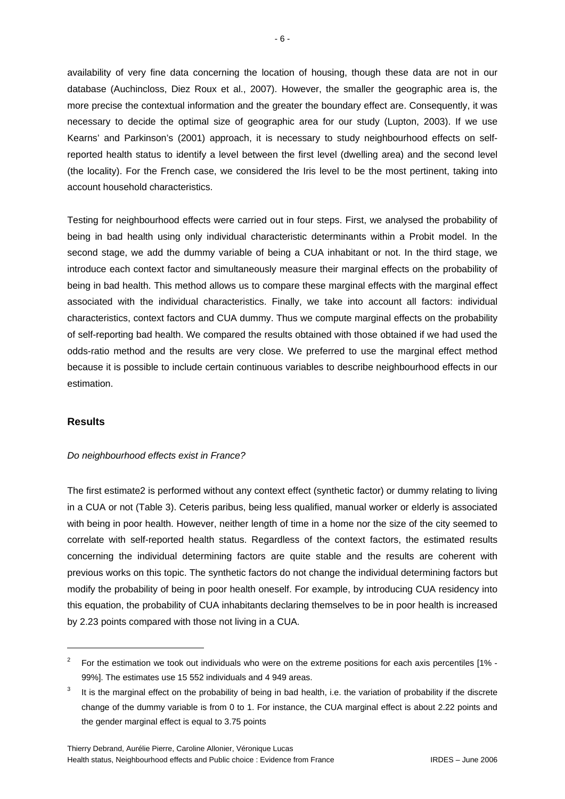availability of very fine data concerning the location of housing, though these data are not in our database (Auchincloss, Diez Roux et al., 2007). However, the smaller the geographic area is, the more precise the contextual information and the greater the boundary effect are. Consequently, it was necessary to decide the optimal size of geographic area for our study (Lupton, 2003). If we use Kearns' and Parkinson's (2001) approach, it is necessary to study neighbourhood effects on selfreported health status to identify a level between the first level (dwelling area) and the second level (the locality). For the French case, we considered the Iris level to be the most pertinent, taking into account household characteristics.

Testing for neighbourhood effects were carried out in four steps. First, we analysed the probability of being in bad health using only individual characteristic determinants within a Probit model. In the second stage, we add the dummy variable of being a CUA inhabitant or not. In the third stage, we introduce each context factor and simultaneously measure their marginal effects on the probability of being in bad health. This method allows us to compare these marginal effects with the marginal effect associated with the individual characteristics. Finally, we take into account all factors: individual characteristics, context factors and CUA dummy. Thus we compute marginal effects on the probability of self-reporting bad health. We compared the results obtained with those obtained if we had used the odds-ratio method and the results are very close. We preferred to use the marginal effect method because it is possible to include certain continuous variables to describe neighbourhood effects in our estimation.

#### **Results**

1

#### *Do neighbourhood effects exist in France?*

The first estimate2 is performed without any context effect (synthetic factor) or dummy relating to living in a CUA or not (Table 3). Ceteris paribus, being less qualified, manual worker or elderly is associated with being in poor health. However, neither length of time in a home nor the size of the city seemed to correlate with self-reported health status. Regardless of the context factors, the estimated results concerning the individual determining factors are quite stable and the results are coherent with previous works on this topic. The synthetic factors do not change the individual determining factors but modify the probability of being in poor health oneself. For example, by introducing CUA residency into this equation, the probability of CUA inhabitants declaring themselves to be in poor health is increased by 2.23 points compared with those not living in a CUA.

<sup>&</sup>lt;sup>2</sup> For the estimation we took out individuals who were on the extreme positions for each axis percentiles [1% -99%]. The estimates use 15 552 individuals and 4 949 areas.

<sup>3</sup> It is the marginal effect on the probability of being in bad health, i.e. the variation of probability if the discrete change of the dummy variable is from 0 to 1. For instance, the CUA marginal effect is about 2.22 points and the gender marginal effect is equal to 3.75 points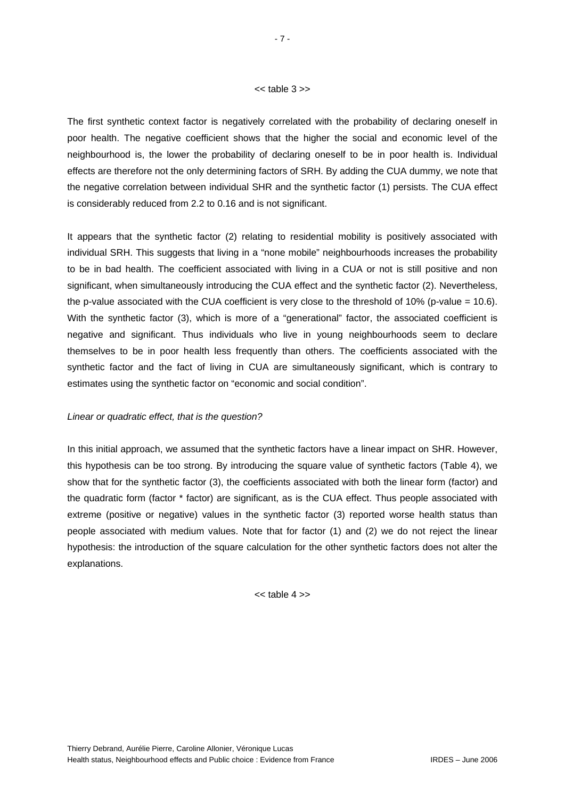#### $<<$  table  $3$   $>>$

The first synthetic context factor is negatively correlated with the probability of declaring oneself in poor health. The negative coefficient shows that the higher the social and economic level of the neighbourhood is, the lower the probability of declaring oneself to be in poor health is. Individual effects are therefore not the only determining factors of SRH. By adding the CUA dummy, we note that the negative correlation between individual SHR and the synthetic factor (1) persists. The CUA effect is considerably reduced from 2.2 to 0.16 and is not significant.

It appears that the synthetic factor (2) relating to residential mobility is positively associated with individual SRH. This suggests that living in a "none mobile" neighbourhoods increases the probability to be in bad health. The coefficient associated with living in a CUA or not is still positive and non significant, when simultaneously introducing the CUA effect and the synthetic factor (2). Nevertheless, the p-value associated with the CUA coefficient is very close to the threshold of 10% (p-value = 10.6). With the synthetic factor (3), which is more of a "generational" factor, the associated coefficient is negative and significant. Thus individuals who live in young neighbourhoods seem to declare themselves to be in poor health less frequently than others. The coefficients associated with the synthetic factor and the fact of living in CUA are simultaneously significant, which is contrary to estimates using the synthetic factor on "economic and social condition".

#### *Linear or quadratic effect, that is the question?*

In this initial approach, we assumed that the synthetic factors have a linear impact on SHR. However, this hypothesis can be too strong. By introducing the square value of synthetic factors (Table 4), we show that for the synthetic factor (3), the coefficients associated with both the linear form (factor) and the quadratic form (factor \* factor) are significant, as is the CUA effect. Thus people associated with extreme (positive or negative) values in the synthetic factor (3) reported worse health status than people associated with medium values. Note that for factor (1) and (2) we do not reject the linear hypothesis: the introduction of the square calculation for the other synthetic factors does not alter the explanations.

 $<<$  table  $4$   $>>$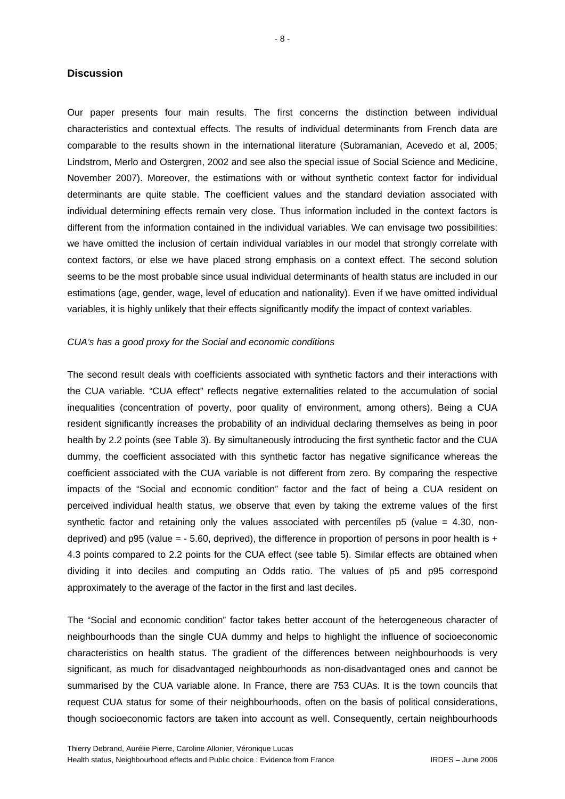#### **Discussion**

Our paper presents four main results. The first concerns the distinction between individual characteristics and contextual effects. The results of individual determinants from French data are comparable to the results shown in the international literature (Subramanian, Acevedo et al, 2005; Lindstrom, Merlo and Ostergren, 2002 and see also the special issue of Social Science and Medicine, November 2007). Moreover, the estimations with or without synthetic context factor for individual determinants are quite stable. The coefficient values and the standard deviation associated with individual determining effects remain very close. Thus information included in the context factors is different from the information contained in the individual variables. We can envisage two possibilities: we have omitted the inclusion of certain individual variables in our model that strongly correlate with context factors, or else we have placed strong emphasis on a context effect. The second solution seems to be the most probable since usual individual determinants of health status are included in our estimations (age, gender, wage, level of education and nationality). Even if we have omitted individual variables, it is highly unlikely that their effects significantly modify the impact of context variables.

#### *CUA's has a good proxy for the Social and economic conditions*

The second result deals with coefficients associated with synthetic factors and their interactions with the CUA variable. "CUA effect" reflects negative externalities related to the accumulation of social inequalities (concentration of poverty, poor quality of environment, among others). Being a CUA resident significantly increases the probability of an individual declaring themselves as being in poor health by 2.2 points (see Table 3). By simultaneously introducing the first synthetic factor and the CUA dummy, the coefficient associated with this synthetic factor has negative significance whereas the coefficient associated with the CUA variable is not different from zero. By comparing the respective impacts of the "Social and economic condition" factor and the fact of being a CUA resident on perceived individual health status, we observe that even by taking the extreme values of the first synthetic factor and retaining only the values associated with percentiles  $p5$  (value = 4.30, nondeprived) and p95 (value  $=$  - 5.60, deprived), the difference in proportion of persons in poor health is  $+$ 4.3 points compared to 2.2 points for the CUA effect (see table 5). Similar effects are obtained when dividing it into deciles and computing an Odds ratio. The values of p5 and p95 correspond approximately to the average of the factor in the first and last deciles.

The "Social and economic condition" factor takes better account of the heterogeneous character of neighbourhoods than the single CUA dummy and helps to highlight the influence of socioeconomic characteristics on health status. The gradient of the differences between neighbourhoods is very significant, as much for disadvantaged neighbourhoods as non-disadvantaged ones and cannot be summarised by the CUA variable alone. In France, there are 753 CUAs. It is the town councils that request CUA status for some of their neighbourhoods, often on the basis of political considerations, though socioeconomic factors are taken into account as well. Consequently, certain neighbourhoods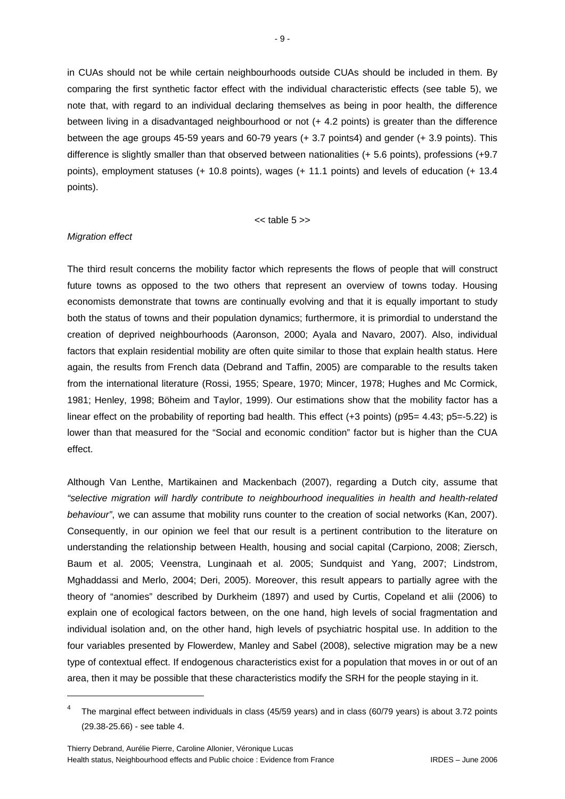in CUAs should not be while certain neighbourhoods outside CUAs should be included in them. By comparing the first synthetic factor effect with the individual characteristic effects (see table 5), we note that, with regard to an individual declaring themselves as being in poor health, the difference between living in a disadvantaged neighbourhood or not (+ 4.2 points) is greater than the difference between the age groups 45-59 years and 60-79 years (+ 3.7 points4) and gender (+ 3.9 points). This difference is slightly smaller than that observed between nationalities (+ 5.6 points), professions (+9.7 points), employment statuses (+ 10.8 points), wages (+ 11.1 points) and levels of education (+ 13.4 points).

 $<<$  table  $5$  >>

#### *Migration effect*

1

The third result concerns the mobility factor which represents the flows of people that will construct future towns as opposed to the two others that represent an overview of towns today. Housing economists demonstrate that towns are continually evolving and that it is equally important to study both the status of towns and their population dynamics; furthermore, it is primordial to understand the creation of deprived neighbourhoods (Aaronson, 2000; Ayala and Navaro, 2007). Also, individual factors that explain residential mobility are often quite similar to those that explain health status. Here again, the results from French data (Debrand and Taffin, 2005) are comparable to the results taken from the international literature (Rossi, 1955; Speare, 1970; Mincer, 1978; Hughes and Mc Cormick, 1981; Henley, 1998; Böheim and Taylor, 1999). Our estimations show that the mobility factor has a linear effect on the probability of reporting bad health. This effect (+3 points) (p95= 4.43; p5=-5.22) is lower than that measured for the "Social and economic condition" factor but is higher than the CUA effect.

Although Van Lenthe, Martikainen and Mackenbach (2007), regarding a Dutch city, assume that *"selective migration will hardly contribute to neighbourhood inequalities in health and health-related behaviour"*, we can assume that mobility runs counter to the creation of social networks (Kan, 2007). Consequently, in our opinion we feel that our result is a pertinent contribution to the literature on understanding the relationship between Health, housing and social capital (Carpiono, 2008; Ziersch, Baum et al. 2005; Veenstra, Lunginaah et al. 2005; Sundquist and Yang, 2007; Lindstrom, Mghaddassi and Merlo, 2004; Deri, 2005). Moreover, this result appears to partially agree with the theory of "anomies" described by Durkheim (1897) and used by Curtis, Copeland et alii (2006) to explain one of ecological factors between, on the one hand, high levels of social fragmentation and individual isolation and, on the other hand, high levels of psychiatric hospital use. In addition to the four variables presented by Flowerdew, Manley and Sabel (2008), selective migration may be a new type of contextual effect. If endogenous characteristics exist for a population that moves in or out of an area, then it may be possible that these characteristics modify the SRH for the people staying in it.

<sup>&</sup>lt;sup>4</sup> The marginal effect between individuals in class (45/59 years) and in class (60/79 years) is about 3.72 points (29.38-25.66) - see table 4.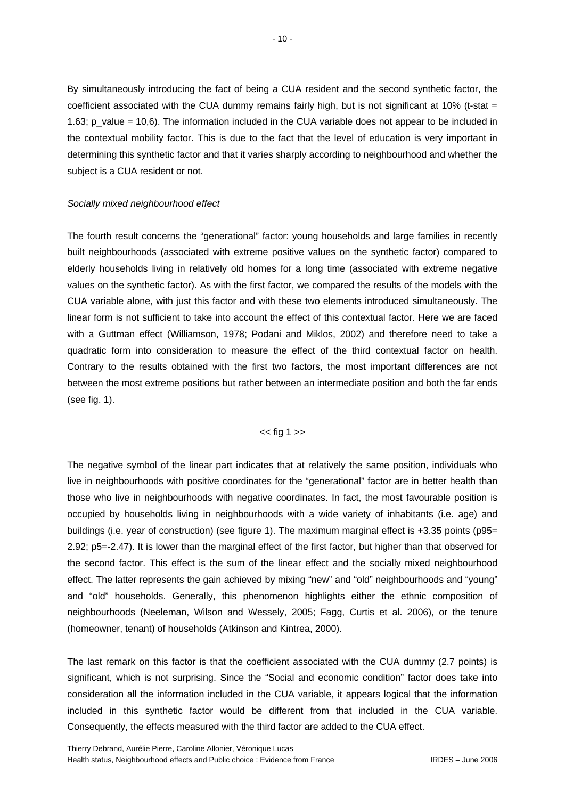By simultaneously introducing the fact of being a CUA resident and the second synthetic factor, the coefficient associated with the CUA dummy remains fairly high, but is not significant at 10% (t-stat  $=$ 1.63; p\_value = 10,6). The information included in the CUA variable does not appear to be included in the contextual mobility factor. This is due to the fact that the level of education is very important in determining this synthetic factor and that it varies sharply according to neighbourhood and whether the subject is a CUA resident or not.

#### *Socially mixed neighbourhood effect*

The fourth result concerns the "generational" factor: young households and large families in recently built neighbourhoods (associated with extreme positive values on the synthetic factor) compared to elderly households living in relatively old homes for a long time (associated with extreme negative values on the synthetic factor). As with the first factor, we compared the results of the models with the CUA variable alone, with just this factor and with these two elements introduced simultaneously. The linear form is not sufficient to take into account the effect of this contextual factor. Here we are faced with a Guttman effect (Williamson, 1978; Podani and Miklos, 2002) and therefore need to take a quadratic form into consideration to measure the effect of the third contextual factor on health. Contrary to the results obtained with the first two factors, the most important differences are not between the most extreme positions but rather between an intermediate position and both the far ends (see fig. 1).

#### << fig 1 >>

The negative symbol of the linear part indicates that at relatively the same position, individuals who live in neighbourhoods with positive coordinates for the "generational" factor are in better health than those who live in neighbourhoods with negative coordinates. In fact, the most favourable position is occupied by households living in neighbourhoods with a wide variety of inhabitants (i.e. age) and buildings (i.e. year of construction) (see figure 1). The maximum marginal effect is +3.35 points (p95= 2.92; p5=-2.47). It is lower than the marginal effect of the first factor, but higher than that observed for the second factor. This effect is the sum of the linear effect and the socially mixed neighbourhood effect. The latter represents the gain achieved by mixing "new" and "old" neighbourhoods and "young" and "old" households. Generally, this phenomenon highlights either the ethnic composition of neighbourhoods (Neeleman, Wilson and Wessely, 2005; Fagg, Curtis et al. 2006), or the tenure (homeowner, tenant) of households (Atkinson and Kintrea, 2000).

The last remark on this factor is that the coefficient associated with the CUA dummy (2.7 points) is significant, which is not surprising. Since the "Social and economic condition" factor does take into consideration all the information included in the CUA variable, it appears logical that the information included in this synthetic factor would be different from that included in the CUA variable. Consequently, the effects measured with the third factor are added to the CUA effect.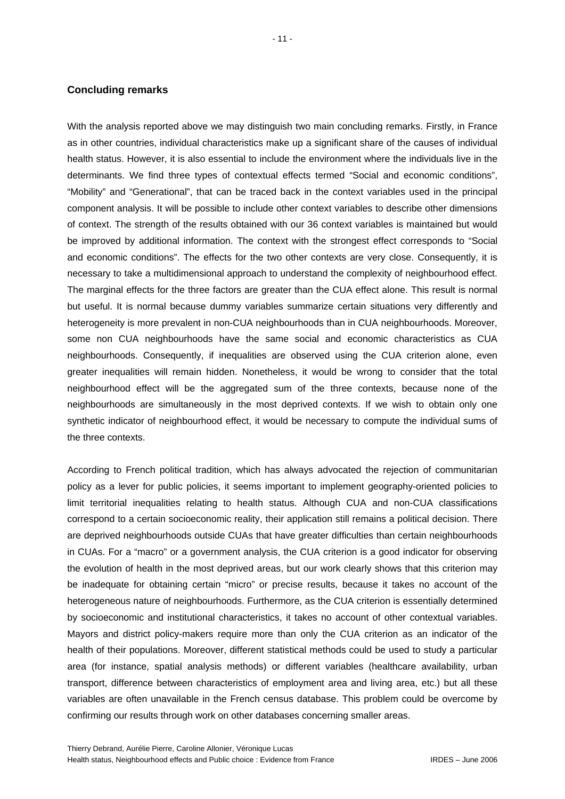#### **Concluding remarks**

With the analysis reported above we may distinguish two main concluding remarks. Firstly, in France as in other countries, individual characteristics make up a significant share of the causes of individual health status. However, it is also essential to include the environment where the individuals live in the determinants. We find three types of contextual effects termed "Social and economic conditions", "Mobility" and "Generational", that can be traced back in the context variables used in the principal component analysis. It will be possible to include other context variables to describe other dimensions of context. The strength of the results obtained with our 36 context variables is maintained but would be improved by additional information. The context with the strongest effect corresponds to "Social and economic conditions". The effects for the two other contexts are very close. Consequently, it is necessary to take a multidimensional approach to understand the complexity of neighbourhood effect. The marginal effects for the three factors are greater than the CUA effect alone. This result is normal but useful. It is normal because dummy variables summarize certain situations very differently and heterogeneity is more prevalent in non-CUA neighbourhoods than in CUA neighbourhoods. Moreover, some non CUA neighbourhoods have the same social and economic characteristics as CUA neighbourhoods. Consequently, if inequalities are observed using the CUA criterion alone, even greater inequalities will remain hidden. Nonetheless, it would be wrong to consider that the total neighbourhood effect will be the aggregated sum of the three contexts, because none of the neighbourhoods are simultaneously in the most deprived contexts. If we wish to obtain only one synthetic indicator of neighbourhood effect, it would be necessary to compute the individual sums of the three contexts.

According to French political tradition, which has always advocated the rejection of communitarian policy as a lever for public policies, it seems important to implement geography-oriented policies to limit territorial inequalities relating to health status. Although CUA and non-CUA classifications correspond to a certain socioeconomic reality, their application still remains a political decision. There are deprived neighbourhoods outside CUAs that have greater difficulties than certain neighbourhoods in CUAs. For a "macro" or a government analysis, the CUA criterion is a good indicator for observing the evolution of health in the most deprived areas, but our work clearly shows that this criterion may be inadequate for obtaining certain "micro" or precise results, because it takes no account of the heterogeneous nature of neighbourhoods. Furthermore, as the CUA criterion is essentially determined by socioeconomic and institutional characteristics, it takes no account of other contextual variables. Mayors and district policy-makers require more than only the CUA criterion as an indicator of the health of their populations. Moreover, different statistical methods could be used to study a particular area (for instance, spatial analysis methods) or different variables (healthcare availability, urban transport, difference between characteristics of employment area and living area, etc.) but all these variables are often unavailable in the French census database. This problem could be overcome by confirming our results through work on other databases concerning smaller areas.

- 11 -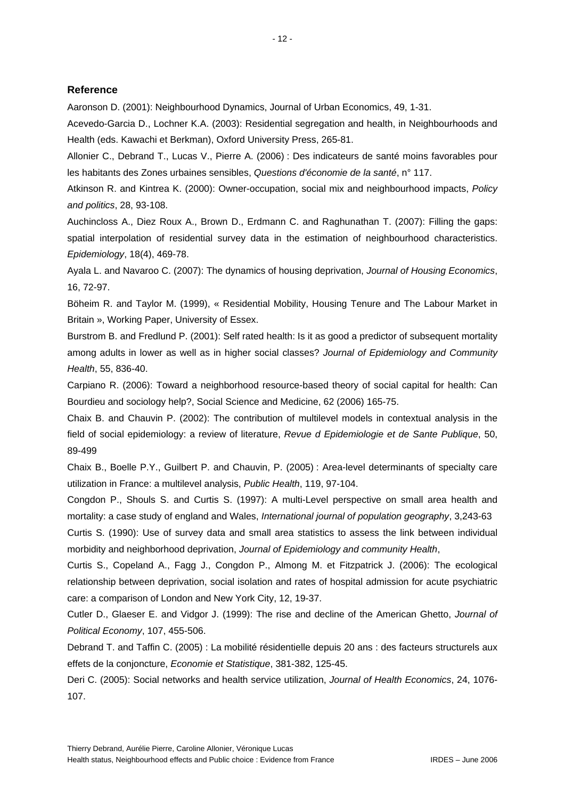#### **Reference**

Aaronson D. (2001): Neighbourhood Dynamics, Journal of Urban Economics, 49, 1-31.

Acevedo-Garcia D., Lochner K.A. (2003): Residential segregation and health, in Neighbourhoods and Health (eds. Kawachi et Berkman), Oxford University Press, 265-81.

Allonier C., Debrand T., Lucas V., Pierre A. (2006) : Des indicateurs de santé moins favorables pour les habitants des Zones urbaines sensibles, *Questions d'économie de la santé*, n° 117.

Atkinson R. and Kintrea K. (2000): Owner-occupation, social mix and neighbourhood impacts, *Policy and politics*, 28, 93-108.

Auchincloss A., Diez Roux A., Brown D., Erdmann C. and Raghunathan T. (2007): Filling the gaps: spatial interpolation of residential survey data in the estimation of neighbourhood characteristics. *Epidemiology*, 18(4), 469-78.

Ayala L. and Navaroo C. (2007): The dynamics of housing deprivation, *Journal of Housing Economics*, 16, 72-97.

Böheim R. and Taylor M. (1999), « Residential Mobility, Housing Tenure and The Labour Market in Britain », Working Paper, University of Essex.

Burstrom B. and Fredlund P. (2001): Self rated health: Is it as good a predictor of subsequent mortality among adults in lower as well as in higher social classes? *Journal of Epidemiology and Community Health*, 55, 836-40.

Carpiano R. (2006): Toward a neighborhood resource-based theory of social capital for health: Can Bourdieu and sociology help?, Social Science and Medicine, 62 (2006) 165-75.

Chaix B. and Chauvin P. (2002): The contribution of multilevel models in contextual analysis in the field of social epidemiology: a review of literature, *Revue d Epidemiologie et de Sante Publique*, 50, 89-499

Chaix B., Boelle P.Y., Guilbert P. and Chauvin, P. (2005) : Area-level determinants of specialty care utilization in France: a multilevel analysis, *Public Health*, 119, 97-104.

Congdon P., Shouls S. and Curtis S. (1997): A multi-Level perspective on small area health and mortality: a case study of england and Wales, *International journal of population geography*, 3,243-63

Curtis S. (1990): Use of survey data and small area statistics to assess the link between individual morbidity and neighborhood deprivation, *Journal of Epidemiology and community Health*,

Curtis S., Copeland A., Fagg J., Congdon P., Almong M. et Fitzpatrick J. (2006): The ecological relationship between deprivation, social isolation and rates of hospital admission for acute psychiatric care: a comparison of London and New York City, 12, 19-37.

Cutler D., Glaeser E. and Vidgor J. (1999): The rise and decline of the American Ghetto, *Journal of Political Economy*, 107, 455-506.

Debrand T. and Taffin C. (2005) : La mobilité résidentielle depuis 20 ans : des facteurs structurels aux effets de la conjoncture, *Economie et Statistique*, 381-382, 125-45.

Deri C. (2005): Social networks and health service utilization, *Journal of Health Economics*, 24, 1076- 107.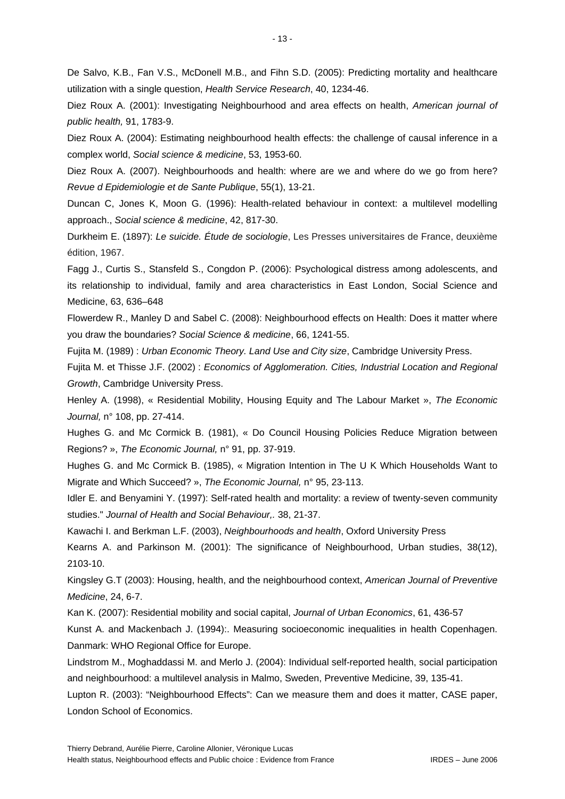De Salvo, K.B., Fan V.S., McDonell M.B., and Fihn S.D. (2005): Predicting mortality and healthcare utilization with a single question, *Health Service Research*, 40, 1234-46.

Diez Roux A. (2001): Investigating Neighbourhood and area effects on health, *American journal of public health,* 91, 1783-9.

Diez Roux A. (2004): Estimating neighbourhood health effects: the challenge of causal inference in a complex world, *Social science & medicine*, 53, 1953-60.

Diez Roux A. (2007). Neighbourhoods and health: where are we and where do we go from here? *Revue d Epidemiologie et de Sante Publique*, 55(1), 13-21.

Duncan C, Jones K, Moon G. (1996): Health-related behaviour in context: a multilevel modelling approach., *Social science & medicine*, 42, 817-30.

Durkheim E. (1897): *Le suicide. Étude de sociologie*, Les Presses universitaires de France, deuxième édition, 1967.

Fagg J., Curtis S., Stansfeld S., Congdon P. (2006): Psychological distress among adolescents, and its relationship to individual, family and area characteristics in East London, Social Science and Medicine, 63, 636–648

Flowerdew R., Manley D and Sabel C. (2008): Neighbourhood effects on Health: Does it matter where you draw the boundaries? *Social Science & medicine*, 66, 1241-55.

Fujita M. (1989) : *Urban Economic Theory. Land Use and City size*, Cambridge University Press.

Fujita M. et Thisse J.F. (2002) : *Economics of Agglomeration. Cities, Industrial Location and Regional Growth*, Cambridge University Press.

Henley A. (1998), « Residential Mobility, Housing Equity and The Labour Market », *The Economic Journal,* n° 108, pp. 27-414.

Hughes G. and Mc Cormick B. (1981), « Do Council Housing Policies Reduce Migration between Regions? », *The Economic Journal,* n° 91, pp. 37-919.

Hughes G. and Mc Cormick B. (1985), « Migration Intention in The U K Which Households Want to Migrate and Which Succeed? », *The Economic Journal,* n° 95, 23-113.

Idler E. and Benyamini Y. (1997): Self-rated health and mortality: a review of twenty-seven community studies." *Journal of Health and Social Behaviour,.* 38, 21-37.

Kawachi I. and Berkman L.F. (2003), *Neighbourhoods and health*, Oxford University Press

Kearns A. and Parkinson M. (2001): The significance of Neighbourhood, Urban studies, 38(12), 2103-10.

Kingsley G.T (2003): Housing, health, and the neighbourhood context, *American Journal of Preventive Medicine*, 24, 6-7.

Kan K. (2007): Residential mobility and social capital, *Journal of Urban Economics*, 61, 436-57

Kunst A. and Mackenbach J. (1994):. Measuring socioeconomic inequalities in health Copenhagen. Danmark: WHO Regional Office for Europe.

Lindstrom M., Moghaddassi M. and Merlo J. (2004): Individual self-reported health, social participation and neighbourhood: a multilevel analysis in Malmo, Sweden, Preventive Medicine, 39, 135-41.

Lupton R. (2003): "Neighbourhood Effects": Can we measure them and does it matter, CASE paper, London School of Economics.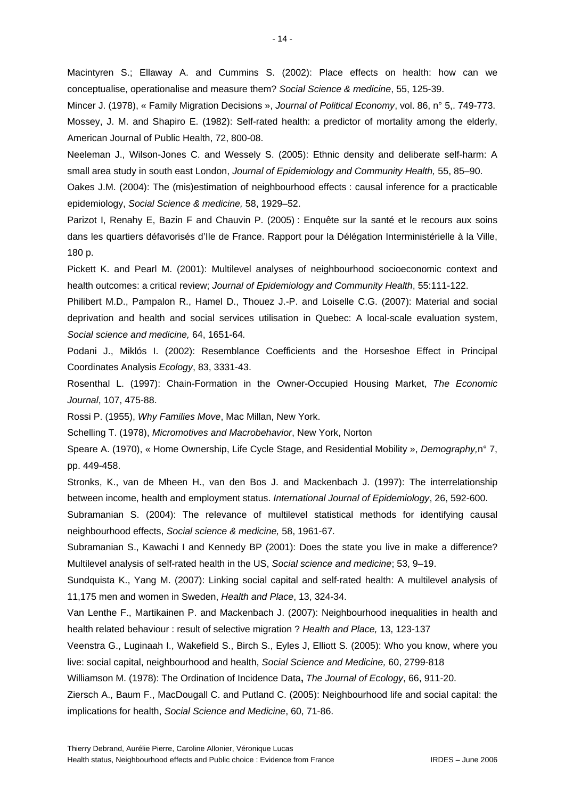Macintyren S.; Ellaway A. and Cummins S. (2002): Place effects on health: how can we conceptualise, operationalise and measure them? *Social Science & medicine*, 55, 125-39.

Mincer J. (1978), « Family Migration Decisions », *Journal of Political Economy*, vol. 86, n° 5,. 749-773. Mossey, J. M. and Shapiro E. (1982): Self-rated health: a predictor of mortality among the elderly, American Journal of Public Health, 72, 800-08.

Neeleman J., Wilson-Jones C. and Wessely S. (2005): Ethnic density and deliberate self-harm: A small area study in south east London, *Journal of Epidemiology and Community Health,* 55, 85–90.

Oakes J.M. (2004): The (mis)estimation of neighbourhood effects : causal inference for a practicable epidemiology, *Social Science & medicine,* 58, 1929–52.

Parizot I, Renahy E, Bazin F and Chauvin P. (2005) : Enquête sur la santé et le recours aux soins dans les quartiers défavorisés d'Ile de France. Rapport pour la Délégation Interministérielle à la Ville, 180 p.

Pickett K. and Pearl M. (2001): Multilevel analyses of neighbourhood socioeconomic context and health outcomes: a critical review; *Journal of Epidemiology and Community Health*, 55:111-122.

Philibert M.D., Pampalon R., Hamel D., Thouez J.-P. and Loiselle C.G. (2007): Material and social deprivation and health and social services utilisation in Quebec: A local-scale evaluation system, *Social science and medicine,* 64, 1651-64*.* 

Podani J., Miklós I. (2002): Resemblance Coefficients and the Horseshoe Effect in Principal Coordinates Analysis *Ecology*, 83, 3331-43.

Rosenthal L. (1997): Chain-Formation in the Owner-Occupied Housing Market, *The Economic Journal*, 107, 475-88.

Rossi P. (1955), *Why Families Move*, Mac Millan, New York.

Schelling T. (1978), *Micromotives and Macrobehavior*, New York, Norton

Speare A. (1970), « Home Ownership, Life Cycle Stage, and Residential Mobility », *Demography,*n° 7, pp. 449-458.

Stronks, K., van de Mheen H., van den Bos J. and Mackenbach J. (1997): The interrelationship between income, health and employment status. *International Journal of Epidemiology*, 26, 592-600.

Subramanian S. (2004): The relevance of multilevel statistical methods for identifying causal neighbourhood effects, *Social science & medicine,* 58, 1961-67*.* 

Subramanian S., Kawachi I and Kennedy BP (2001): Does the state you live in make a difference? Multilevel analysis of self-rated health in the US, *Social science and medicine*; 53, 9–19.

Sundquista K., Yang M. (2007): Linking social capital and self-rated health: A multilevel analysis of 11,175 men and women in Sweden, *Health and Place*, 13, 324-34.

Van Lenthe F., Martikainen P. and Mackenbach J. (2007): Neighbourhood inequalities in health and health related behaviour : result of selective migration ? *Health and Place,* 13, 123-137

Veenstra G., Luginaah I., Wakefield S., Birch S., Eyles J, Elliott S. (2005): Who you know, where you live: social capital, neighbourhood and health, *Social Science and Medicine,* 60, 2799-818

Williamson M. (1978): The Ordination of Incidence Data**,** *The Journal of Ecology*, 66, 911-20.

Ziersch A., Baum F., MacDougall C. and Putland C. (2005): Neighbourhood life and social capital: the implications for health, *Social Science and Medicine*, 60, 71-86.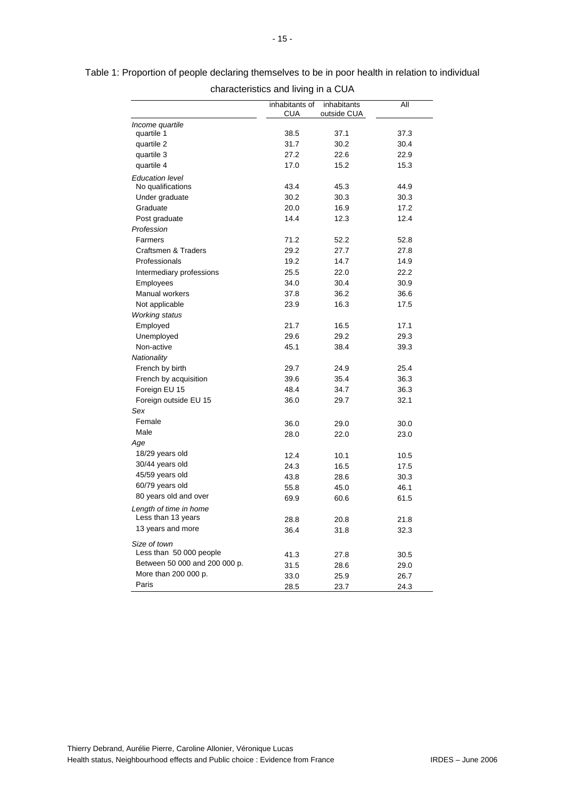|                               | inhabitants of | inhabitants | All  |
|-------------------------------|----------------|-------------|------|
|                               | <b>CUA</b>     | outside CUA |      |
| Income quartile               |                |             |      |
| quartile 1                    | 38.5           | 37.1        | 37.3 |
| quartile 2                    | 31.7           | 30.2        | 30.4 |
| quartile 3                    | 27.2           | 22.6        | 22.9 |
| quartile 4                    | 17.0           | 15.2        | 15.3 |
| <b>Education level</b>        |                |             |      |
| No qualifications             | 43.4           | 45.3        | 44.9 |
| Under graduate                | 30.2           | 30.3        | 30.3 |
| Graduate                      | 20.0           | 16.9        | 17.2 |
| Post graduate                 | 14.4           | 12.3        | 12.4 |
| Profession                    |                |             |      |
| Farmers                       | 71.2           | 52.2        | 52.8 |
| Craftsmen & Traders           | 29.2           | 27.7        | 27.8 |
| Professionals                 | 19.2           | 14.7        | 14.9 |
| Intermediary professions      | 25.5           | 22.0        | 22.2 |
| Employees                     | 34.0           | 30.4        | 30.9 |
| Manual workers                | 37.8           | 36.2        | 36.6 |
| Not applicable                | 23.9           | 16.3        | 17.5 |
| <b>Working status</b>         |                |             |      |
| Employed                      | 21.7           | 16.5        | 17.1 |
| Unemployed                    | 29.6           | 29.2        | 29.3 |
| Non-active                    | 45.1           | 38.4        | 39.3 |
| Nationality                   |                |             |      |
| French by birth               | 29.7           | 24.9        | 25.4 |
| French by acquisition         | 39.6           | 35.4        | 36.3 |
| Foreign EU 15                 | 48.4           | 34.7        | 36.3 |
| Foreign outside EU 15         | 36.0           | 29.7        | 32.1 |
| Sex                           |                |             |      |
| Female                        | 36.0           | 29.0        | 30.0 |
| Male                          | 28.0           | 22.0        | 23.0 |
| Age                           |                |             |      |
| 18/29 years old               | 12.4           | 10.1        | 10.5 |
| 30/44 years old               | 24.3           | 16.5        | 17.5 |
| 45/59 years old               | 43.8           | 28.6        | 30.3 |
| 60/79 years old               | 55.8           | 45.0        | 46.1 |
| 80 years old and over         | 69.9           | 60.6        | 61.5 |
| Length of time in home        |                |             |      |
| Less than 13 years            | 28.8           | 20.8        | 21.8 |
| 13 years and more             | 36.4           | 31.8        | 32.3 |
| Size of town                  |                |             |      |
| Less than 50 000 people       |                |             | 30.5 |
| Between 50 000 and 200 000 p. | 41.3           | 27.8        |      |
| More than 200 000 p.          | 31.5           | 28.6        | 29.0 |
| Paris                         | 33.0           | 25.9        | 26.7 |
|                               | 28.5           | 23.7        | 24.3 |

Table 1: Proportion of people declaring themselves to be in poor health in relation to individual characteristics and living in a CUA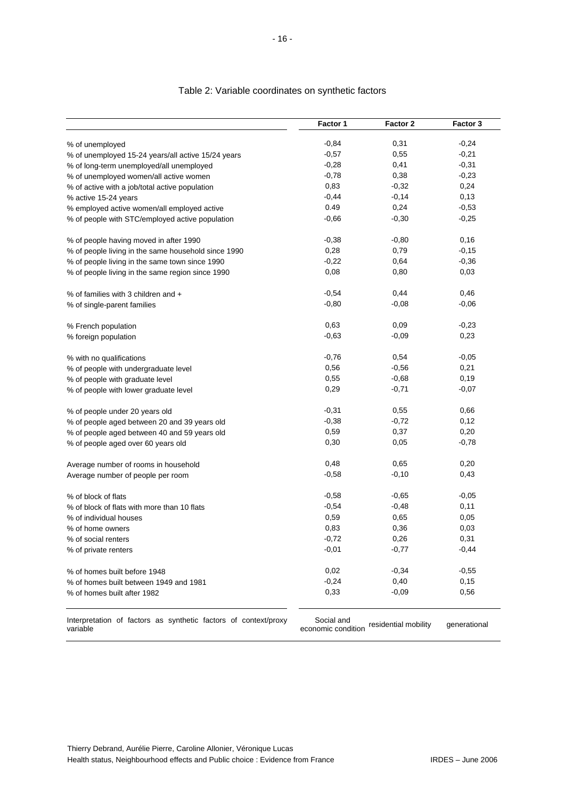|                                                     | Factor 1 | Factor 2 | Factor 3 |
|-----------------------------------------------------|----------|----------|----------|
| % of unemployed                                     | $-0,84$  | 0,31     | $-0,24$  |
| % of unemployed 15-24 years/all active 15/24 years  | $-0,57$  | 0,55     | $-0,21$  |
| % of long-term unemployed/all unemployed            | $-0,28$  | 0,41     | $-0,31$  |
| % of unemployed women/all active women              | $-0,78$  | 0,38     | $-0,23$  |
| % of active with a job/total active population      | 0,83     | $-0,32$  | 0,24     |
| % active 15-24 years                                | $-0,44$  | $-0,14$  | 0,13     |
| % employed active women/all employed active         | 0.49     | 0,24     | $-0,53$  |
| % of people with STC/employed active population     | $-0,66$  | $-0,30$  | $-0,25$  |
| % of people having moved in after 1990              | $-0,38$  | $-0,80$  | 0,16     |
| % of people living in the same household since 1990 | 0,28     | 0,79     | $-0,15$  |
| % of people living in the same town since 1990      | $-0,22$  | 0,64     | $-0,36$  |
| % of people living in the same region since 1990    | 0,08     | 0,80     | 0,03     |
| % of families with 3 children and +                 | $-0,54$  | 0,44     | 0,46     |
| % of single-parent families                         | $-0,80$  | $-0,08$  | $-0,06$  |
| % French population                                 | 0,63     | 0,09     | $-0,23$  |
| % foreign population                                | $-0,63$  | $-0,09$  | 0,23     |
| % with no qualifications                            | $-0,76$  | 0,54     | $-0,05$  |
| % of people with undergraduate level                | 0,56     | $-0,56$  | 0,21     |
| % of people with graduate level                     | 0,55     | $-0,68$  | 0,19     |
| % of people with lower graduate level               | 0,29     | $-0,71$  | $-0,07$  |
| % of people under 20 years old                      | $-0,31$  | 0,55     | 0,66     |
| % of people aged between 20 and 39 years old        | $-0,38$  | $-0,72$  | 0,12     |
| % of people aged between 40 and 59 years old        | 0,59     | 0,37     | 0,20     |
| % of people aged over 60 years old                  | 0,30     | 0,05     | $-0,78$  |
| Average number of rooms in household                | 0,48     | 0,65     | 0,20     |
| Average number of people per room                   | $-0,58$  | $-0,10$  | 0,43     |
| % of block of flats                                 | $-0,58$  | $-0,65$  | $-0,05$  |
| % of block of flats with more than 10 flats         | $-0,54$  | $-0,48$  | 0,11     |
| % of individual houses                              | 0,59     | 0,65     | 0,05     |
| % of home owners                                    | 0,83     | 0,36     | 0,03     |
| % of social renters                                 | $-0,72$  | 0,26     | 0,31     |
| % of private renters                                | $-0,01$  | $-0,77$  | -0,44    |
| % of homes built before 1948                        | 0,02     | $-0,34$  | $-0,55$  |
| % of homes built between 1949 and 1981              | $-0,24$  | 0,40     | 0,15     |
| % of homes built after 1982                         | 0,33     | $-0,09$  | 0,56     |

#### Table 2: Variable coordinates on synthetic factors

Interpretation of factors as synthetic factors of context/proxy variable Social and economic condition residential mobility generational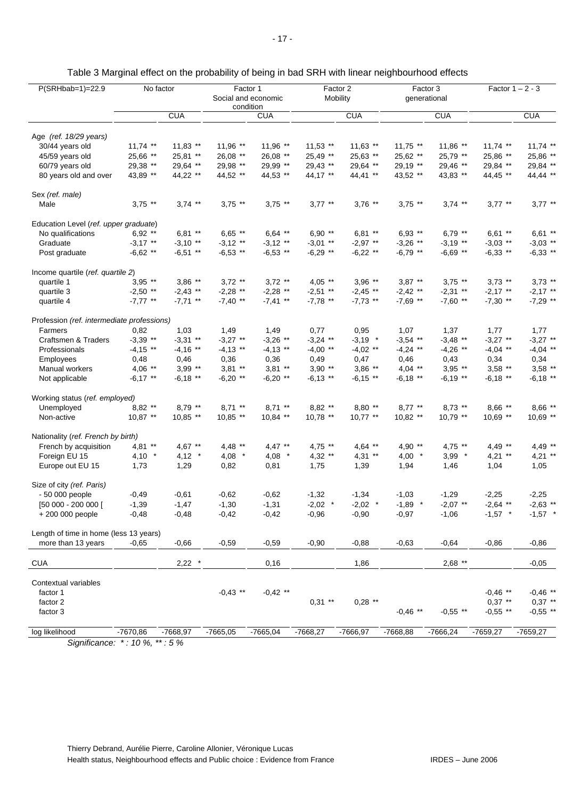| <b>CUA</b><br>Age (ref. 18/29 years)<br>$11,74$ **<br>30/44 years old<br>25,66 **<br>45/59 years old<br>29,38 **<br>60/79 years old<br>43,89 **<br>80 years old and over<br>Sex (ref. male)<br>$3.75$ **<br>Male<br>Education Level (ref. upper graduate)<br>No qualifications<br>$6,92$ **<br>$-3,17$ **<br>Graduate<br>$-6,62$ **<br>Post graduate<br>Income quartile (ref. quartile 2)<br>$3,95$ **<br>quartile 1<br>$-2,50$ **<br>quartile 3<br>$-7,77$ **<br>quartile 4<br>Profession (ref. intermediate professions)<br>Farmers<br>0,82<br>$-3,39$ **<br>Craftsmen & Traders<br>$-4,15$ **<br>Professionals<br>0,48<br>Employees<br>$4.06$ **<br>Manual workers<br>$-6,17$ **<br>Not applicable<br>Working status (ref. employed)<br>$8,82$ **<br>Unemployed<br>$10,87$ **<br>Non-active | $11,83$ **<br>25,81 **<br>29,64 **<br>44,22 ** | $11,96$ **<br>26,08 **<br>29,98 **<br>44,52 ** | <b>CUA</b><br>$11,96$ **<br>26,08 **<br>29,99 ** | $11,53$ **        | <b>CUA</b>        |                   | <b>CUA</b>        |                   | <b>CUA</b>        |
|------------------------------------------------------------------------------------------------------------------------------------------------------------------------------------------------------------------------------------------------------------------------------------------------------------------------------------------------------------------------------------------------------------------------------------------------------------------------------------------------------------------------------------------------------------------------------------------------------------------------------------------------------------------------------------------------------------------------------------------------------------------------------------------------|------------------------------------------------|------------------------------------------------|--------------------------------------------------|-------------------|-------------------|-------------------|-------------------|-------------------|-------------------|
|                                                                                                                                                                                                                                                                                                                                                                                                                                                                                                                                                                                                                                                                                                                                                                                                |                                                |                                                |                                                  |                   |                   |                   |                   |                   |                   |
|                                                                                                                                                                                                                                                                                                                                                                                                                                                                                                                                                                                                                                                                                                                                                                                                |                                                |                                                |                                                  |                   |                   |                   |                   |                   |                   |
|                                                                                                                                                                                                                                                                                                                                                                                                                                                                                                                                                                                                                                                                                                                                                                                                |                                                |                                                |                                                  |                   | $11,63$ **        | $11,75$ **        | 11,86 **          | $11,74$ **        | $11,74$ **        |
|                                                                                                                                                                                                                                                                                                                                                                                                                                                                                                                                                                                                                                                                                                                                                                                                |                                                |                                                |                                                  | 25,49 **          | 25,63 **          | 25,62 **          | 25,79 **          | 25,86 **          | 25,86 **          |
|                                                                                                                                                                                                                                                                                                                                                                                                                                                                                                                                                                                                                                                                                                                                                                                                |                                                |                                                |                                                  | 29,43 **          | 29,64 **          | 29,19 **          | 29,46 **          | 29,84 **          | 29,84 **          |
|                                                                                                                                                                                                                                                                                                                                                                                                                                                                                                                                                                                                                                                                                                                                                                                                |                                                |                                                | 44,53 **                                         | 44,17 **          | 44,41 **          | 43,52 **          | 43,83 **          | 44,45 **          | 44,44 **          |
|                                                                                                                                                                                                                                                                                                                                                                                                                                                                                                                                                                                                                                                                                                                                                                                                |                                                |                                                |                                                  |                   |                   |                   |                   |                   |                   |
|                                                                                                                                                                                                                                                                                                                                                                                                                                                                                                                                                                                                                                                                                                                                                                                                | $3.74$ **                                      | $3,75$ **                                      | $3,75$ **                                        | $3,77$ **         | $3.76$ **         | $3.75$ **         | $3.74$ **         | $3,77$ **         | $3.77$ **         |
|                                                                                                                                                                                                                                                                                                                                                                                                                                                                                                                                                                                                                                                                                                                                                                                                |                                                |                                                |                                                  |                   |                   |                   |                   |                   |                   |
|                                                                                                                                                                                                                                                                                                                                                                                                                                                                                                                                                                                                                                                                                                                                                                                                | $6,81$ **                                      | $6,65$ **                                      | $6,64$ **                                        | 6,90 $**$         | $6,81**$          | $6,93$ **         | $6,79$ **         | $6,61$ **         | $6,61$ **         |
|                                                                                                                                                                                                                                                                                                                                                                                                                                                                                                                                                                                                                                                                                                                                                                                                | $-3,10$ **                                     | $-3,12$ **                                     | $-3,12$ **                                       | $-3,01$ **        | $-2,97$ **        | $-3,26$ **        | $-3,19$ **        | $-3,03$ **        | $-3,03$ **        |
|                                                                                                                                                                                                                                                                                                                                                                                                                                                                                                                                                                                                                                                                                                                                                                                                | $-6,51$ **                                     | $-6,53$ **                                     | $-6,53$ **                                       | $-6,29$ **        | $-6,22$ **        | $-6,79$ **        | $-6,69$ **        | $-6,33$ **        | $-6,33$ **        |
|                                                                                                                                                                                                                                                                                                                                                                                                                                                                                                                                                                                                                                                                                                                                                                                                |                                                |                                                |                                                  |                   |                   |                   |                   |                   |                   |
|                                                                                                                                                                                                                                                                                                                                                                                                                                                                                                                                                                                                                                                                                                                                                                                                | $3,86$ **                                      | $3,72$ **                                      | $3.72$ **                                        | $4.05$ **         | $3,96$ **         | $3.87***$         | $3,75$ **         | $3,73$ **         | $3,73$ **         |
|                                                                                                                                                                                                                                                                                                                                                                                                                                                                                                                                                                                                                                                                                                                                                                                                | $-2,43$ **                                     | $-2,28$ **                                     | $-2,28$ **                                       | $-2,51$ **        | $-2,45$ **        | $-2,42$ **        | $-2,31$ **        | $-2,17$ **        | $-2,17$ **        |
|                                                                                                                                                                                                                                                                                                                                                                                                                                                                                                                                                                                                                                                                                                                                                                                                | $-7,71$ **                                     | $-7,40$ **                                     | $-7,41$ **                                       | $-7,78$ **        | $-7,73$ **        | $-7,69$ **        | $-7,60$ **        | $-7,30$ **        | $-7,29$ **        |
|                                                                                                                                                                                                                                                                                                                                                                                                                                                                                                                                                                                                                                                                                                                                                                                                |                                                |                                                |                                                  |                   |                   |                   |                   |                   |                   |
|                                                                                                                                                                                                                                                                                                                                                                                                                                                                                                                                                                                                                                                                                                                                                                                                | 1,03                                           | 1,49                                           | 1,49                                             | 0,77              | 0,95              | 1,07              | 1,37              | 1,77              | 1,77              |
|                                                                                                                                                                                                                                                                                                                                                                                                                                                                                                                                                                                                                                                                                                                                                                                                | $-3,31$ **                                     | $-3,27$ **                                     | $-3,26$ **                                       | $-3,24$ **        | $-3,19$ *         | $-3,54$ **        | $-3,48$ **        | $-3,27$ **        | $-3,27$ **        |
|                                                                                                                                                                                                                                                                                                                                                                                                                                                                                                                                                                                                                                                                                                                                                                                                | $-4,16$ **                                     | $-4,13$ **                                     | $-4,13$ **                                       | $-4,00$ **        | $-4.02$ **        | $-4,24$ **        | $-4,26$ **        | $-4,04$ **        | $-4,04$ **        |
|                                                                                                                                                                                                                                                                                                                                                                                                                                                                                                                                                                                                                                                                                                                                                                                                | 0,46<br>$3,99$ **                              | 0,36<br>$3,81$ **                              | 0,36<br>$3,81$ **                                | 0,49<br>$3,90$ ** | 0,47<br>$3,86$ ** | 0,46<br>$4,04$ ** | 0,43<br>$3,95$ ** | 0,34<br>$3,58$ ** | 0,34<br>$3,58$ ** |
|                                                                                                                                                                                                                                                                                                                                                                                                                                                                                                                                                                                                                                                                                                                                                                                                | $-6,18$ **                                     | $-6,20$ **                                     | $-6,20$ **                                       | $-6,13$ **        | $-6,15$ **        | $-6,18$ **        | $-6,19$ **        | $-6,18$ **        | $-6,18$ **        |
|                                                                                                                                                                                                                                                                                                                                                                                                                                                                                                                                                                                                                                                                                                                                                                                                |                                                |                                                |                                                  |                   |                   |                   |                   |                   |                   |
|                                                                                                                                                                                                                                                                                                                                                                                                                                                                                                                                                                                                                                                                                                                                                                                                | $8.79$ **                                      | $8,71$ **                                      | $8,71$ **                                        | $8,82$ **         | $8,80$ **         | $8.77$ **         | $8,73$ **         | $8,66$ **         | $8,66$ **         |
|                                                                                                                                                                                                                                                                                                                                                                                                                                                                                                                                                                                                                                                                                                                                                                                                | 10,85 **                                       | $10,85$ **                                     | $10,84$ **                                       | $10,78$ **        | $10,77$ **        | 10,82 **          | 10,79 **          | 10,69 **          | $10,69$ **        |
| Nationality (ref. French by birth)                                                                                                                                                                                                                                                                                                                                                                                                                                                                                                                                                                                                                                                                                                                                                             |                                                |                                                |                                                  |                   |                   |                   |                   |                   |                   |
| $4,81$ **<br>French by acquisition                                                                                                                                                                                                                                                                                                                                                                                                                                                                                                                                                                                                                                                                                                                                                             | $4,67$ **                                      | $4,48$ **                                      | $4,47$ **                                        | $4,75$ **         | $4,64$ **         | 4,90 $**$         | $4,75$ **         | $4,49$ **         | $4.49**$          |
| $4,10$ *<br>Foreign EU 15                                                                                                                                                                                                                                                                                                                                                                                                                                                                                                                                                                                                                                                                                                                                                                      | $4,12$ *                                       | $4,08$ *                                       | $4,08$ *                                         | $4,32$ **         | $4,31$ **         | $4,00$ *          | $3,99$ *          | $4,21$ **         | $4,21$ **         |
| 1,73<br>Europe out EU 15                                                                                                                                                                                                                                                                                                                                                                                                                                                                                                                                                                                                                                                                                                                                                                       | 1,29                                           | 0,82                                           | 0,81                                             | 1,75              | 1,39              | 1,94              | 1,46              | 1,04              | 1,05              |
| Size of city (ref. Paris)                                                                                                                                                                                                                                                                                                                                                                                                                                                                                                                                                                                                                                                                                                                                                                      |                                                |                                                |                                                  |                   |                   |                   |                   |                   |                   |
| - 50 000 people<br>$-0,49$                                                                                                                                                                                                                                                                                                                                                                                                                                                                                                                                                                                                                                                                                                                                                                     | $-0,61$                                        | $-0,62$                                        | $-0,62$                                          | $-1,32$           | $-1,34$           | $-1,03$           | $-1,29$           | $-2,25$           | $-2,25$           |
| [50 000 - 200 000 [<br>$-1,39$                                                                                                                                                                                                                                                                                                                                                                                                                                                                                                                                                                                                                                                                                                                                                                 | $-1,47$                                        | $-1,30$                                        | $-1,31$                                          | $-2,02$ *         | $-2,02$ *         | $-1,89$ *         | $-2,07$ **        | $-2,64$ **        | $-2,63$ **        |
| +200 000 people<br>$-0,48$                                                                                                                                                                                                                                                                                                                                                                                                                                                                                                                                                                                                                                                                                                                                                                     | $-0,48$                                        | $-0,42$                                        | $-0,42$                                          | $-0,96$           | $-0,90$           | $-0,97$           | $-1,06$           | $-1,57$ *         | $-1,57$ *         |
| Length of time in home (less 13 years)                                                                                                                                                                                                                                                                                                                                                                                                                                                                                                                                                                                                                                                                                                                                                         |                                                |                                                |                                                  |                   |                   |                   |                   |                   |                   |
| $-0,65$<br>more than 13 years                                                                                                                                                                                                                                                                                                                                                                                                                                                                                                                                                                                                                                                                                                                                                                  | $-0,66$                                        | $-0,59$                                        | $-0,59$                                          | $-0,90$           | $-0,88$           | $-0,63$           | $-0,64$           | $-0,86$           | $-0,86$           |
| <b>CUA</b>                                                                                                                                                                                                                                                                                                                                                                                                                                                                                                                                                                                                                                                                                                                                                                                     | 2,22                                           |                                                | 0,16                                             |                   | 1,86              |                   | $2,68$ **         |                   | $-0,05$           |
| Contextual variables                                                                                                                                                                                                                                                                                                                                                                                                                                                                                                                                                                                                                                                                                                                                                                           |                                                |                                                |                                                  |                   |                   |                   |                   |                   |                   |
| factor 1                                                                                                                                                                                                                                                                                                                                                                                                                                                                                                                                                                                                                                                                                                                                                                                       |                                                | $-0,43$ **                                     | $-0,42$ **                                       |                   |                   |                   |                   | $-0.46$ **        | $-0.46$ **        |
| factor 2                                                                                                                                                                                                                                                                                                                                                                                                                                                                                                                                                                                                                                                                                                                                                                                       |                                                |                                                |                                                  | $0,31$ **         | $0,28$ **         |                   |                   | $0,37$ **         | $0,37$ **         |
| factor 3                                                                                                                                                                                                                                                                                                                                                                                                                                                                                                                                                                                                                                                                                                                                                                                       |                                                |                                                |                                                  |                   |                   | $-0,46$ **        | $-0,55$ **        | $-0,55$ **        | $-0,55$ **        |
| $-7670,86$<br>$-7668,97$<br>log likelihood                                                                                                                                                                                                                                                                                                                                                                                                                                                                                                                                                                                                                                                                                                                                                     |                                                | $-7665,05$                                     | $-7665,04$                                       | $-7668,27$        | $-7666,97$        | $-7668,88$        | $-7666,24$        | $-7659,27$        | $-7659,27$        |

Table 3 Marginal effect on the probability of being in bad SRH with linear neighbourhood effects

*Significance: \* : 10 %, \*\* : 5 %*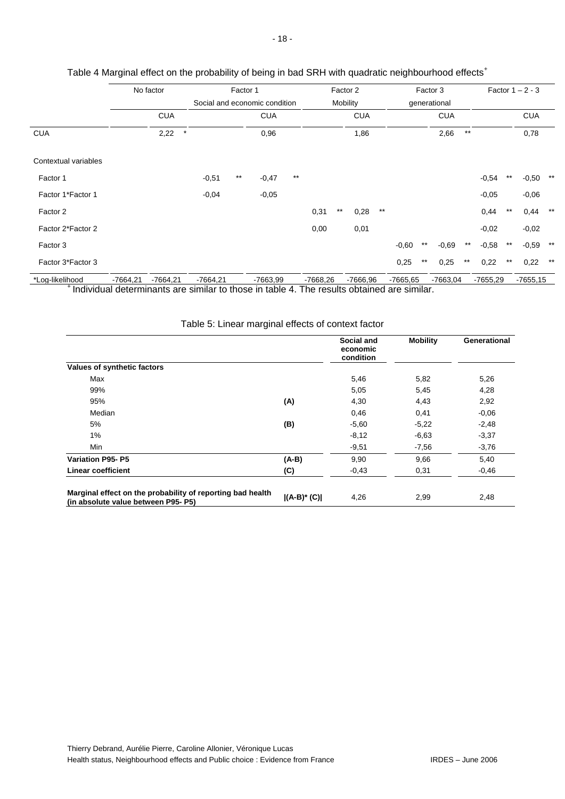|                      |            | No factor  |            | Factor 1 |            |       | Factor 2                      |       |            |          | Factor 3   | Factor $1 - 2 - 3$ |              |                 |          |       |            |       |  |
|----------------------|------------|------------|------------|----------|------------|-------|-------------------------------|-------|------------|----------|------------|--------------------|--------------|-----------------|----------|-------|------------|-------|--|
|                      |            |            |            |          |            |       | Social and economic condition |       |            | Mobility |            |                    | generational |                 |          |       |            |       |  |
|                      |            | <b>CUA</b> |            |          | <b>CUA</b> |       |                               |       | <b>CUA</b> |          |            |                    | <b>CUA</b>   |                 |          |       | <b>CUA</b> |       |  |
| <b>CUA</b>           |            | 2,22       | $\star$    |          | 0,96       |       |                               |       | 1,86       |          |            |                    | 2,66         | $^{\star\star}$ |          |       | 0,78       |       |  |
| Contextual variables |            |            |            |          |            |       |                               |       |            |          |            |                    |              |                 |          |       |            |       |  |
| Factor 1             |            |            | $-0,51$    | $***$    | $-0,47$    | $***$ |                               |       |            |          |            |                    |              |                 | $-0,54$  | $***$ | -0,50      | $***$ |  |
| Factor 1*Factor 1    |            |            | $-0,04$    |          | $-0,05$    |       |                               |       |            |          |            |                    |              |                 | $-0,05$  |       | $-0,06$    |       |  |
| Factor 2             |            |            |            |          |            |       | 0,31                          | $***$ | 0,28       | $***$    |            |                    |              |                 | 0,44     | $***$ | 0,44       | $***$ |  |
| Factor 2*Factor 2    |            |            |            |          |            |       | 0,00                          |       | 0,01       |          |            |                    |              |                 | $-0,02$  |       | $-0,02$    |       |  |
| Factor 3             |            |            |            |          |            |       |                               |       |            |          | $-0,60$    | $***$              | $-0,69$      | $^{\star\star}$ | $-0,58$  | $***$ | $-0,59$    | $***$ |  |
| Factor 3*Factor 3    |            |            |            |          |            |       |                               |       |            |          | 0,25       | $***$              | 0,25         | $***$           | 0,22     | $***$ | 0,22       | $***$ |  |
| *Log-likelihood      | $-7664,21$ | $-7664,21$ | $-7664,21$ |          | $-7663,99$ |       | $-7668,26$                    |       | $-7666,96$ |          | $-7665,65$ |                    | $-7663,04$   |                 | -7655,29 |       | $-7655,15$ |       |  |

#### Table 4 Marginal effect on the probability of being in bad SRH with quadratic neighbourhood effects<sup>+</sup>

<sup>+</sup> Individual determinants are similar to those in table 4. The results obtained are similar.

|                                                                                                  |                | Social and<br>economic<br>condition | <b>Mobility</b> | <b>Generational</b> |
|--------------------------------------------------------------------------------------------------|----------------|-------------------------------------|-----------------|---------------------|
| Values of synthetic factors                                                                      |                |                                     |                 |                     |
| Max                                                                                              |                | 5,46                                | 5,82            | 5,26                |
| 99%                                                                                              |                | 5,05                                | 5,45            | 4,28                |
| 95%                                                                                              | (A)            | 4,30                                | 4,43            | 2,92                |
| Median                                                                                           |                | 0,46                                | 0,41            | $-0.06$             |
| 5%                                                                                               | (B)            | $-5,60$                             | $-5,22$         | $-2,48$             |
| $1\%$                                                                                            |                | $-8,12$                             | $-6,63$         | $-3,37$             |
| Min                                                                                              |                | $-9,51$                             | $-7,56$         | $-3,76$             |
| <b>Variation P95-P5</b>                                                                          | $(A-B)$        | 9,90                                | 9,66            | 5,40                |
| <b>Linear coefficient</b>                                                                        | (C)            | $-0.43$                             | 0,31            | $-0,46$             |
|                                                                                                  |                |                                     |                 |                     |
| Marginal effect on the probability of reporting bad health<br>(in absolute value between P95-P5) | $ (A-B)^*(C) $ | 4,26                                | 2,99            | 2,48                |

### Table 5: Linear marginal effects of context factor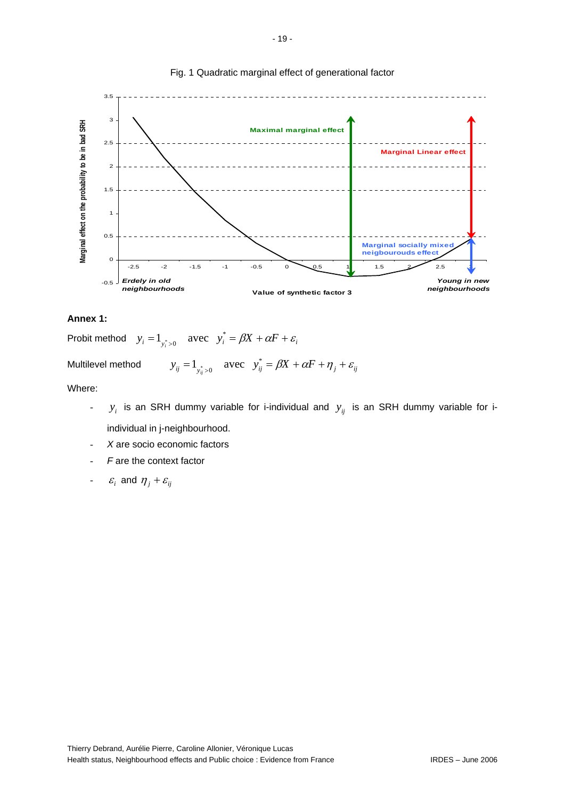

#### Fig. 1 Quadratic marginal effect of generational factor

#### **Annex 1:**

Probit method  $y_i = 1$ <sub> $y_i > 0$ </sub> avec  $y_i^* = \beta X + \alpha F + \varepsilon$ 

Multilevel method  $y_{ij} = 1_{y_{ij}^*>0}$  avec  $y_{ij}^* = \beta X + \alpha F + \eta_j + \varepsilon_{ij}$ 

Where:

- $y_i$  is an SRH dummy variable for i-individual and  $y_{ij}$  is an SRH dummy variable for iindividual in j-neighbourhood.
- X are socio economic factors
- F are the context factor
- $\varepsilon_i$  and  $\eta_j + \varepsilon_{ij}$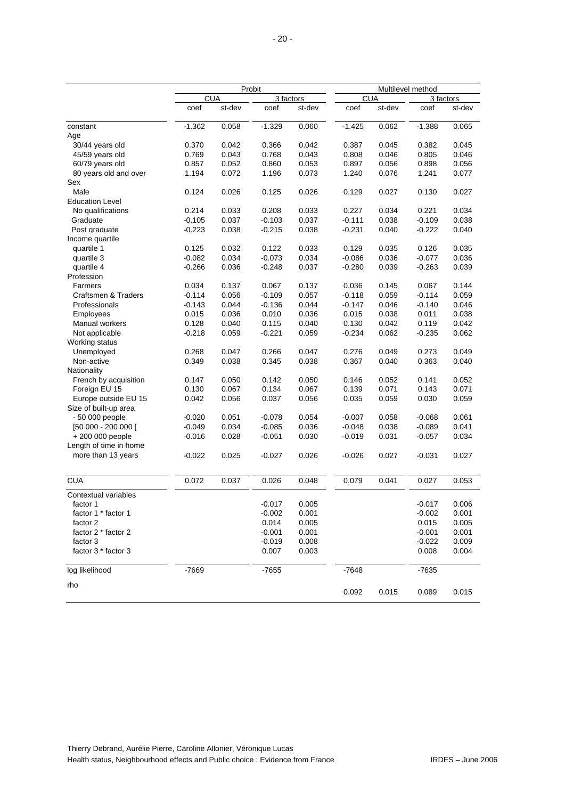|                        |          |            | Probit    | Multilevel method |          |            |          |           |  |  |  |
|------------------------|----------|------------|-----------|-------------------|----------|------------|----------|-----------|--|--|--|
|                        |          | <b>CUA</b> | 3 factors |                   |          | <b>CUA</b> |          | 3 factors |  |  |  |
|                        | coef     | st-dev     | coef      | st-dev            | coef     | st-dev     | coef     | st-dev    |  |  |  |
| constant<br>Age        | $-1.362$ | 0.058      | $-1.329$  | 0.060             | $-1.425$ | 0.062      | $-1.388$ | 0.065     |  |  |  |
| 30/44 years old        | 0.370    | 0.042      | 0.366     | 0.042             | 0.387    | 0.045      | 0.382    | 0.045     |  |  |  |
| 45/59 years old        | 0.769    | 0.043      | 0.768     | 0.043             | 0.808    | 0.046      | 0.805    | 0.046     |  |  |  |
| 60/79 years old        | 0.857    | 0.052      | 0.860     | 0.053             | 0.897    | 0.056      | 0.898    | 0.056     |  |  |  |
| 80 years old and over  | 1.194    | 0.072      | 1.196     | 0.073             | 1.240    | 0.076      | 1.241    | 0.077     |  |  |  |
| Sex                    |          |            |           |                   |          |            |          |           |  |  |  |
| Male                   | 0.124    | 0.026      | 0.125     | 0.026             | 0.129    | 0.027      | 0.130    | 0.027     |  |  |  |
| <b>Education Level</b> |          |            |           |                   |          |            |          |           |  |  |  |
| No qualifications      | 0.214    | 0.033      | 0.208     | 0.033             | 0.227    | 0.034      | 0.221    | 0.034     |  |  |  |
| Graduate               | $-0.105$ | 0.037      | $-0.103$  | 0.037             | $-0.111$ | 0.038      | $-0.109$ | 0.038     |  |  |  |
| Post graduate          | $-0.223$ | 0.038      | -0.215    | 0.038             | $-0.231$ | 0.040      | $-0.222$ | 0.040     |  |  |  |
| Income quartile        |          |            |           |                   |          |            |          |           |  |  |  |
| quartile 1             | 0.125    | 0.032      | 0.122     | 0.033             | 0.129    | 0.035      | 0.126    | 0.035     |  |  |  |
| quartile 3             | $-0.082$ | 0.034      | $-0.073$  | 0.034             | $-0.086$ | 0.036      | $-0.077$ | 0.036     |  |  |  |
| quartile 4             | $-0.266$ | 0.036      | $-0.248$  | 0.037             | $-0.280$ | 0.039      | $-0.263$ | 0.039     |  |  |  |
| Profession             |          |            |           |                   |          |            |          |           |  |  |  |
| Farmers                | 0.034    | 0.137      | 0.067     | 0.137             | 0.036    | 0.145      | 0.067    | 0.144     |  |  |  |
| Craftsmen & Traders    | $-0.114$ | 0.056      | $-0.109$  | 0.057             | $-0.118$ | 0.059      | $-0.114$ | 0.059     |  |  |  |
| Professionals          | $-0.143$ | 0.044      | $-0.136$  | 0.044             | $-0.147$ | 0.046      | $-0.140$ | 0.046     |  |  |  |
| Employees              | 0.015    | 0.036      | 0.010     | 0.036             | 0.015    | 0.038      | 0.011    | 0.038     |  |  |  |
| Manual workers         | 0.128    | 0.040      | 0.115     | 0.040             | 0.130    | 0.042      | 0.119    | 0.042     |  |  |  |
| Not applicable         | $-0.218$ | 0.059      | $-0.221$  | 0.059             | $-0.234$ | 0.062      | $-0.235$ | 0.062     |  |  |  |
| Working status         |          |            |           |                   |          |            |          |           |  |  |  |
| Unemployed             | 0.268    | 0.047      | 0.266     | 0.047             | 0.276    | 0.049      | 0.273    | 0.049     |  |  |  |
| Non-active             | 0.349    | 0.038      | 0.345     | 0.038             | 0.367    | 0.040      | 0.363    | 0.040     |  |  |  |
| Nationality            |          |            |           |                   |          |            |          |           |  |  |  |
| French by acquisition  | 0.147    | 0.050      | 0.142     | 0.050             | 0.146    | 0.052      | 0.141    | 0.052     |  |  |  |
| Foreign EU 15          | 0.130    | 0.067      | 0.134     | 0.067             | 0.139    | 0.071      | 0.143    | 0.071     |  |  |  |
| Europe outside EU 15   | 0.042    | 0.056      | 0.037     | 0.056             | 0.035    | 0.059      | 0.030    | 0.059     |  |  |  |
| Size of built-up area  |          |            |           |                   |          |            |          |           |  |  |  |
| - 50 000 people        | $-0.020$ | 0.051      | $-0.078$  | 0.054             | $-0.007$ | 0.058      | $-0.068$ | 0.061     |  |  |  |
| [50 000 - 200 000 ]    | $-0.049$ | 0.034      | $-0.085$  | 0.036             | $-0.048$ | 0.038      | $-0.089$ | 0.041     |  |  |  |
| +200 000 people        | $-0.016$ | 0.028      | -0.051    | 0.030             | $-0.019$ | 0.031      | $-0.057$ | 0.034     |  |  |  |
| Length of time in home |          |            |           |                   |          |            |          |           |  |  |  |
| more than 13 years     | $-0.022$ | 0.025      | $-0.027$  | 0.026             | $-0.026$ | 0.027      | $-0.031$ | 0.027     |  |  |  |
| <b>CUA</b>             | 0.072    | 0.037      | 0.026     | 0.048             | 0.079    | 0.041      | 0.027    | 0.053     |  |  |  |
| Contextual variables   |          |            |           |                   |          |            |          |           |  |  |  |
| factor 1               |          |            | $-0.017$  | 0.005             |          |            | $-0.017$ | 0.006     |  |  |  |
| factor 1 * factor 1    |          |            | $-0.002$  | 0.001             |          |            | $-0.002$ | 0.001     |  |  |  |
| factor 2               |          |            | 0.014     | 0.005             |          |            | 0.015    | 0.005     |  |  |  |
| factor 2 * factor 2    |          |            | -0.001    | 0.001             |          |            | $-0.001$ | 0.001     |  |  |  |
| factor 3               |          |            | -0.019    | 0.008             |          |            | $-0.022$ | 0.009     |  |  |  |
| factor 3 * factor 3    |          |            | 0.007     | 0.003             |          |            | 0.008    | 0.004     |  |  |  |
| log likelihood         | $-7669$  |            | $-7655$   |                   | $-7648$  |            | $-7635$  |           |  |  |  |
|                        |          |            |           |                   |          |            |          |           |  |  |  |
| rho                    |          |            |           |                   | 0.092    | 0.015      | 0.089    | 0.015     |  |  |  |